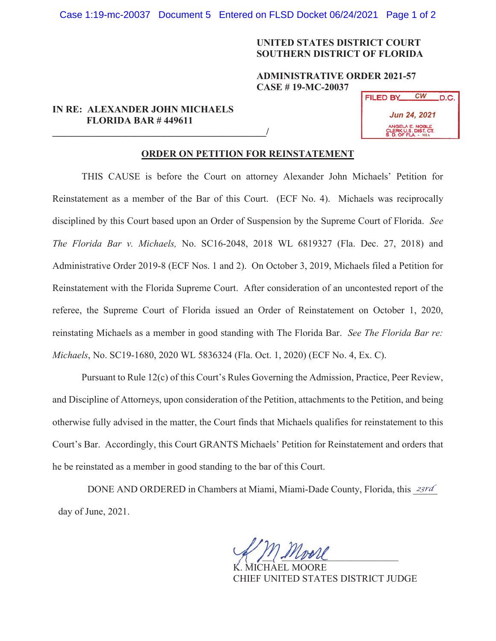Case 1:19-mc-20037 Document 5 Entered on FLSD Docket 06/24/2021 Page 1 of 2

## **UNITED STATES DISTRICT COURT SOUTHERN DISTRICT OF FLORIDA**

## **ADMINISTRATIVE ORDER 2021-57 CASE # 19-MC-20037**

## **IN RE: ALEXANDER JOHN MICHAELS FLORIDA BAR # 449611**

**\_\_\_\_\_\_\_\_\_\_\_\_\_\_\_\_\_\_\_\_\_\_\_\_\_\_\_\_\_\_\_\_\_\_\_\_\_\_\_\_\_\_\_\_/**

| <b>FILED BY</b>                                                | СW | .D.C. |
|----------------------------------------------------------------|----|-------|
| <b>Jun 24, 2021</b>                                            |    |       |
| ANGELA E. NOBLE<br>CLERK U.S. DIST. CT.<br>S. D. OF FLA. - MIA |    |       |

## **ORDER ON PETITION FOR REINSTATEMENT**

THIS CAUSE is before the Court on attorney Alexander John Michaels' Petition for Reinstatement as a member of the Bar of this Court. (ECF No. 4). Michaels was reciprocally disciplined by this Court based upon an Order of Suspension by the Supreme Court of Florida. *See The Florida Bar v. Michaels,* No. SC16-2048, 2018 WL 6819327 (Fla. Dec. 27, 2018) and Administrative Order 2019-8 (ECF Nos. 1 and 2). On October 3, 2019, Michaels filed a Petition for Reinstatement with the Florida Supreme Court. After consideration of an uncontested report of the referee, the Supreme Court of Florida issued an Order of Reinstatement on October 1, 2020, reinstating Michaels as a member in good standing with The Florida Bar. *See The Florida Bar re: Michaels*, No. SC19-1680, 2020 WL 5836324 (Fla. Oct. 1, 2020) (ECF No. 4, Ex. C). FILED BY<br> *Sun 24, 26*<br> *CW*<br> *CW*<br> *CW*<br> *CW*<br> *CW*<br> *CW*<br> *CW*<br> *CW*<br> *CW*<br> *CW*<br> *CW*<br> *CW*<br> *CW*<br> *CW*<br> *CW*<br> *CW*<br> *CW*<br> *CW*<br> *CW*<br> *CW*<br> *CW*<br> *CW*<br> *CW*<br> *CW*<br> *CW*<br> *CW*<br> *CW*<br> *CW*<br> *CW*<br> *CW*<br> *CW*<br> *CW*<br> *CW*<br>

Pursuant to Rule 12(c) of this Court's Rules Governing the Admission, Practice, Peer Review, and Discipline of Attorneys, upon consideration of the Petition, attachments to the Petition, and being otherwise fully advised in the matter, the Court finds that Michaels qualifies for reinstatement to this Court's Bar. Accordingly, this Court GRANTS Michaels' Petition for Reinstatement and orders that he be reinstated as a member in good standing to the bar of this Court.

DONE AND ORDERED in Chambers at Miami, Miami-Dade County, Florida, this *23rd* day of June, 2021.

 $\sim$   $\sim$   $\sim$   $\sim$   $\sim$   $\sim$   $\sim$  $\mathcal{A}$   $\mathcal{A}$   $\mathcal{A}$ 

K. MICHAEL MOORE CHIEF UNITED STATES DISTRICT JUDGE